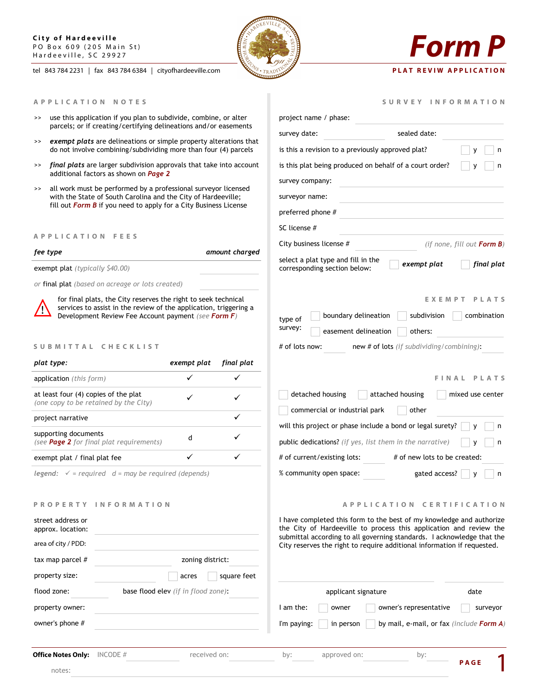### **City of Hardeeville** PO Box 609 (205 Main St) Hardeeville, SC 29927

tel 843 784 2231 | fax 843 784 6384 | cityofhardeeville.com



- >> use this application if you plan to subdivide, combine, or alter parcels; or if creating/certifying delineations and/or easements
- >> *exempt plats* are delineations or simple property alterations that do not involve combining/subdividing more than four (4) parcels
- >> *final plats* are larger subdivision approvals that take into account additional factors as shown on *Page 2*
- >> all work must be performed by a professional surveyor licensed with the State of South Carolina and the City of Hardeeville; fill out *Form B* if you need to apply for a City Business License

### **A P P L I C A T I O N F E E S**

| fee type |  |
|----------|--|
|----------|--|

*fee type amount charged*

exempt plat *(typically \$40.00)*

*or* final plat *(based on acreage or lots created)*



for final plats, the City reserves the right to seek technical services to assist in the review of the application, triggering a Development Review Fee Account payment *(see Form F)*

### S U B M I T T A L C H E C K L I S T

| plat type:                                                                    | exempt plat | final plat |
|-------------------------------------------------------------------------------|-------------|------------|
| <b>application</b> (this form)                                                |             |            |
| at least four (4) copies of the plat<br>(one copy to be retained by the City) |             |            |
| project narrative                                                             |             |            |
| supporting documents<br>(see <b>Page 2</b> for final plat requirements)       | d           |            |
| exempt plat / final plat fee                                                  |             |            |
|                                                                               |             |            |

*legend: = required d = may be required (depends)*

### **P R O P E R T Y I N F O R M A T I O N**

| $\blacktriangledown$                | I have com<br>the City of<br>submittal<br>City reserv |
|-------------------------------------|-------------------------------------------------------|
| zoning district:                    |                                                       |
| square feet<br>acres                |                                                       |
| base flood elev (if in flood zone): |                                                       |
|                                     | I am the:                                             |
|                                     | I'm paying:                                           |
|                                     |                                                       |
|                                     |                                                       |

**Office Notes Only:** INCODE # received on: by:

notes:

| ANDREWILLE AND INC. |  |
|---------------------|--|
|                     |  |
|                     |  |

# *Form P*

## **PLAT REVIW APPLICATION**

|  |  |  |  |  | SURVEY INFORMATION |  |  |  |  |  |  |  |  |  |  |  |  |
|--|--|--|--|--|--------------------|--|--|--|--|--|--|--|--|--|--|--|--|
|--|--|--|--|--|--------------------|--|--|--|--|--|--|--|--|--|--|--|--|

| project name / phase:                                                                |                                                                                                       |
|--------------------------------------------------------------------------------------|-------------------------------------------------------------------------------------------------------|
| survey date:                                                                         | sealed date:                                                                                          |
| is this a revision to a previously approved plat?                                    | n<br>у                                                                                                |
| is this plat being produced on behalf of a court order?                              | n<br>٧                                                                                                |
| survey company:                                                                      |                                                                                                       |
| surveyor name:                                                                       |                                                                                                       |
| preferred phone #                                                                    |                                                                                                       |
| SC license #                                                                         |                                                                                                       |
| City business license #                                                              | (if none, fill out <b>Form B</b> )                                                                    |
| select a plat type and fill in the<br>corresponding section below:                   | exempt plat<br>final plat                                                                             |
| boundary delineation<br>type of<br>survey:<br>easement delineation<br># of lots now: | EXEMPT<br>PLATS<br>subdivision<br>combination<br>others:<br>new # of lots (if subdividing/combining): |
|                                                                                      | FINAL<br>PLATS                                                                                        |
| detached housing                                                                     | attached housing<br>mixed use center                                                                  |
| commercial or industrial park                                                        | other                                                                                                 |
| will this project or phase include a bond or legal surety?                           | n<br>У                                                                                                |
| public dedications? (if yes, list them in the narrative)                             | n<br>y                                                                                                |
| # of current/existing lots:                                                          | # of new lots to be created:                                                                          |
| % community open space:                                                              | gated access?<br>n<br>۷                                                                               |
|                                                                                      |                                                                                                       |

**A P P L I C A T I O N C E R T I F I C A T I O N** 

**P A G E** 1

ipleted this form to the best of my knowledge and authorize of Hardeeville to process this application and review the according to all governing standards. I acknowledge that the es the right to require additional information if requested.

| ood zone) <b>:</b> | applicant signature<br>date                                                 |  |
|--------------------|-----------------------------------------------------------------------------|--|
|                    | owner's representative<br>I am the:<br>owner<br>surveyor                    |  |
|                    | by mail, e-mail, or fax <i>(include Form A)</i><br>I'm paying:<br>in person |  |
|                    |                                                                             |  |

approved on: by: